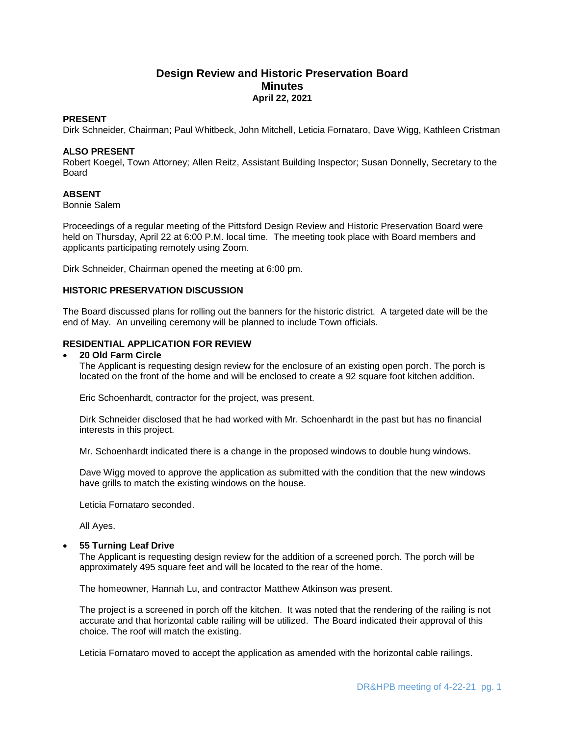# **Design Review and Historic Preservation Board Minutes April 22, 2021**

#### **PRESENT**

Dirk Schneider, Chairman; Paul Whitbeck, John Mitchell, Leticia Fornataro, Dave Wigg, Kathleen Cristman

#### **ALSO PRESENT**

Robert Koegel, Town Attorney; Allen Reitz, Assistant Building Inspector; Susan Donnelly, Secretary to the Board

## **ABSENT**

Bonnie Salem

Proceedings of a regular meeting of the Pittsford Design Review and Historic Preservation Board were held on Thursday, April 22 at 6:00 P.M. local time. The meeting took place with Board members and applicants participating remotely using Zoom.

Dirk Schneider, Chairman opened the meeting at 6:00 pm.

### **HISTORIC PRESERVATION DISCUSSION**

The Board discussed plans for rolling out the banners for the historic district. A targeted date will be the end of May. An unveiling ceremony will be planned to include Town officials.

### **RESIDENTIAL APPLICATION FOR REVIEW**

#### **20 Old Farm Circle**

The Applicant is requesting design review for the enclosure of an existing open porch. The porch is located on the front of the home and will be enclosed to create a 92 square foot kitchen addition.

Eric Schoenhardt, contractor for the project, was present.

Dirk Schneider disclosed that he had worked with Mr. Schoenhardt in the past but has no financial interests in this project.

Mr. Schoenhardt indicated there is a change in the proposed windows to double hung windows.

Dave Wigg moved to approve the application as submitted with the condition that the new windows have grills to match the existing windows on the house.

Leticia Fornataro seconded.

All Ayes.

#### **55 Turning Leaf Drive**

The Applicant is requesting design review for the addition of a screened porch. The porch will be approximately 495 square feet and will be located to the rear of the home.

The homeowner, Hannah Lu, and contractor Matthew Atkinson was present.

The project is a screened in porch off the kitchen. It was noted that the rendering of the railing is not accurate and that horizontal cable railing will be utilized. The Board indicated their approval of this choice. The roof will match the existing.

Leticia Fornataro moved to accept the application as amended with the horizontal cable railings.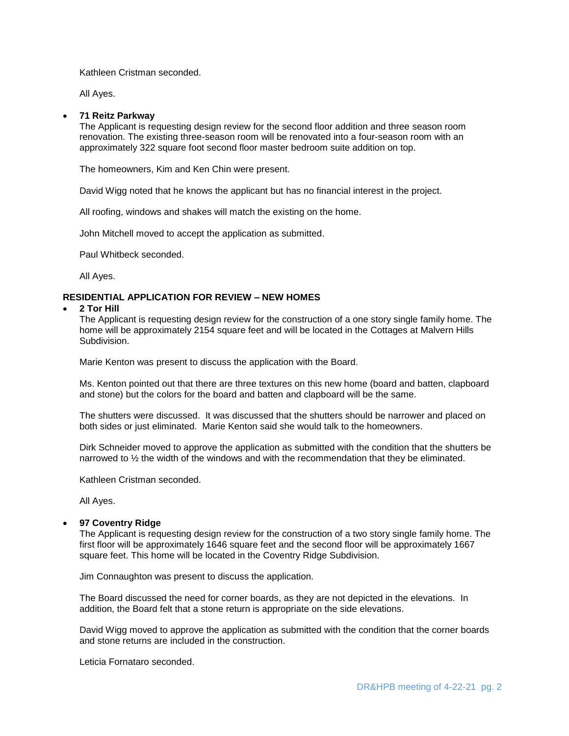Kathleen Cristman seconded.

All Ayes.

#### **71 Reitz Parkway**

The Applicant is requesting design review for the second floor addition and three season room renovation. The existing three-season room will be renovated into a four-season room with an approximately 322 square foot second floor master bedroom suite addition on top.

The homeowners, Kim and Ken Chin were present.

David Wigg noted that he knows the applicant but has no financial interest in the project.

All roofing, windows and shakes will match the existing on the home.

John Mitchell moved to accept the application as submitted.

Paul Whitbeck seconded.

All Ayes.

## **RESIDENTIAL APPLICATION FOR REVIEW – NEW HOMES**

#### **2 Tor Hill**

The Applicant is requesting design review for the construction of a one story single family home. The home will be approximately 2154 square feet and will be located in the Cottages at Malvern Hills Subdivision.

Marie Kenton was present to discuss the application with the Board.

Ms. Kenton pointed out that there are three textures on this new home (board and batten, clapboard and stone) but the colors for the board and batten and clapboard will be the same.

The shutters were discussed. It was discussed that the shutters should be narrower and placed on both sides or just eliminated. Marie Kenton said she would talk to the homeowners.

Dirk Schneider moved to approve the application as submitted with the condition that the shutters be narrowed to  $\frac{1}{2}$  the width of the windows and with the recommendation that they be eliminated.

Kathleen Cristman seconded.

All Ayes.

#### **97 Coventry Ridge**

The Applicant is requesting design review for the construction of a two story single family home. The first floor will be approximately 1646 square feet and the second floor will be approximately 1667 square feet. This home will be located in the Coventry Ridge Subdivision.

Jim Connaughton was present to discuss the application.

The Board discussed the need for corner boards, as they are not depicted in the elevations. In addition, the Board felt that a stone return is appropriate on the side elevations.

David Wigg moved to approve the application as submitted with the condition that the corner boards and stone returns are included in the construction.

Leticia Fornataro seconded.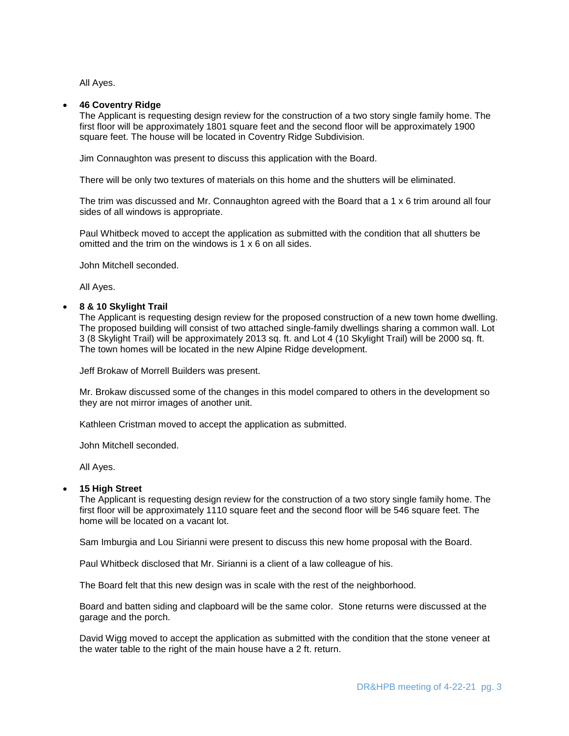All Ayes.

#### **46 Coventry Ridge**

The Applicant is requesting design review for the construction of a two story single family home. The first floor will be approximately 1801 square feet and the second floor will be approximately 1900 square feet. The house will be located in Coventry Ridge Subdivision.

Jim Connaughton was present to discuss this application with the Board.

There will be only two textures of materials on this home and the shutters will be eliminated.

The trim was discussed and Mr. Connaughton agreed with the Board that a 1 x 6 trim around all four sides of all windows is appropriate.

Paul Whitbeck moved to accept the application as submitted with the condition that all shutters be omitted and the trim on the windows is 1 x 6 on all sides.

John Mitchell seconded.

All Ayes.

### **8 & 10 Skylight Trail**

The Applicant is requesting design review for the proposed construction of a new town home dwelling. The proposed building will consist of two attached single-family dwellings sharing a common wall. Lot 3 (8 Skylight Trail) will be approximately 2013 sq. ft. and Lot 4 (10 Skylight Trail) will be 2000 sq. ft. The town homes will be located in the new Alpine Ridge development.

Jeff Brokaw of Morrell Builders was present.

Mr. Brokaw discussed some of the changes in this model compared to others in the development so they are not mirror images of another unit.

Kathleen Cristman moved to accept the application as submitted.

John Mitchell seconded.

All Ayes.

#### **15 High Street**

The Applicant is requesting design review for the construction of a two story single family home. The first floor will be approximately 1110 square feet and the second floor will be 546 square feet. The home will be located on a vacant lot.

Sam Imburgia and Lou Sirianni were present to discuss this new home proposal with the Board.

Paul Whitbeck disclosed that Mr. Sirianni is a client of a law colleague of his.

The Board felt that this new design was in scale with the rest of the neighborhood.

Board and batten siding and clapboard will be the same color. Stone returns were discussed at the garage and the porch.

David Wigg moved to accept the application as submitted with the condition that the stone veneer at the water table to the right of the main house have a 2 ft. return.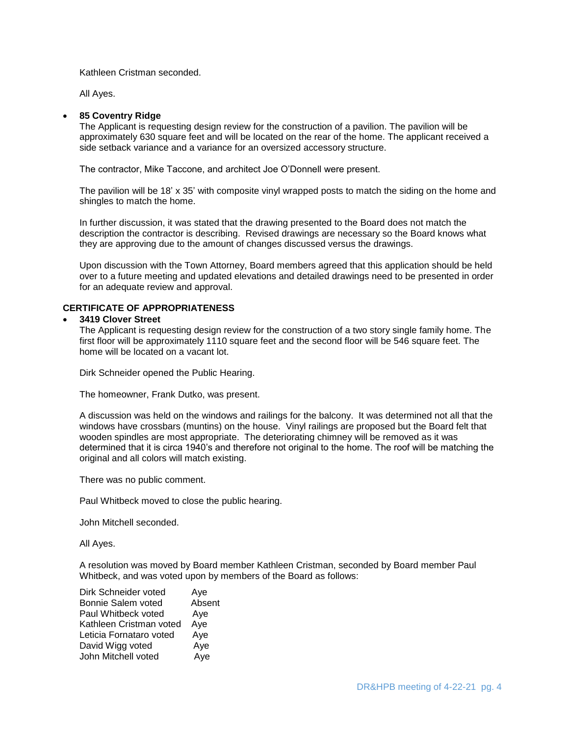Kathleen Cristman seconded.

All Ayes.

## **85 Coventry Ridge**

The Applicant is requesting design review for the construction of a pavilion. The pavilion will be approximately 630 square feet and will be located on the rear of the home. The applicant received a side setback variance and a variance for an oversized accessory structure.

The contractor, Mike Taccone, and architect Joe O'Donnell were present.

The pavilion will be 18' x 35' with composite vinyl wrapped posts to match the siding on the home and shingles to match the home.

In further discussion, it was stated that the drawing presented to the Board does not match the description the contractor is describing. Revised drawings are necessary so the Board knows what they are approving due to the amount of changes discussed versus the drawings.

Upon discussion with the Town Attorney, Board members agreed that this application should be held over to a future meeting and updated elevations and detailed drawings need to be presented in order for an adequate review and approval.

### **CERTIFICATE OF APPROPRIATENESS**

#### **3419 Clover Street**

The Applicant is requesting design review for the construction of a two story single family home. The first floor will be approximately 1110 square feet and the second floor will be 546 square feet. The home will be located on a vacant lot.

Dirk Schneider opened the Public Hearing.

The homeowner, Frank Dutko, was present.

A discussion was held on the windows and railings for the balcony. It was determined not all that the windows have crossbars (muntins) on the house. Vinyl railings are proposed but the Board felt that wooden spindles are most appropriate. The deteriorating chimney will be removed as it was determined that it is circa 1940's and therefore not original to the home. The roof will be matching the original and all colors will match existing.

There was no public comment.

Paul Whitbeck moved to close the public hearing.

John Mitchell seconded.

All Ayes.

A resolution was moved by Board member Kathleen Cristman, seconded by Board member Paul Whitbeck, and was voted upon by members of the Board as follows:

| Dirk Schneider voted    | Aye    |
|-------------------------|--------|
| Bonnie Salem voted      | Absent |
| Paul Whitbeck voted     | Aye    |
| Kathleen Cristman voted | Aye    |
| Leticia Fornataro voted | Aye    |
| David Wigg voted        | Aye    |
| John Mitchell voted     | Aye    |